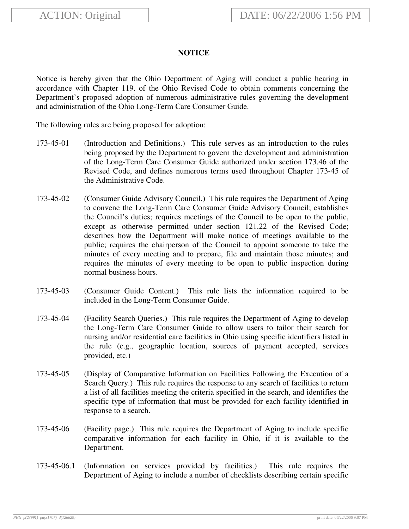## **NOTICE**

Notice is hereby given that the Ohio Department of Aging will conduct a public hearing in accordance with Chapter 119. of the Ohio Revised Code to obtain comments concerning the Department's proposed adoption of numerous administrative rules governing the development and administration of the Ohio Long-Term Care Consumer Guide.

The following rules are being proposed for adoption:

- 173-45-01 (Introduction and Definitions.) This rule serves as an introduction to the rules being proposed by the Department to govern the development and administration of the Long-Term Care Consumer Guide authorized under section 173.46 of the Revised Code, and defines numerous terms used throughout Chapter 173-45 of the Administrative Code.
- 173-45-02 (Consumer Guide Advisory Council.) This rule requires the Department of Aging to convene the Long-Term Care Consumer Guide Advisory Council; establishes the Council's duties; requires meetings of the Council to be open to the public, except as otherwise permitted under section 121.22 of the Revised Code; describes how the Department will make notice of meetings available to the public; requires the chairperson of the Council to appoint someone to take the minutes of every meeting and to prepare, file and maintain those minutes; and requires the minutes of every meeting to be open to public inspection during normal business hours.
- 173-45-03 (Consumer Guide Content.) This rule lists the information required to be included in the Long-Term Consumer Guide.
- 173-45-04 (Facility Search Queries.) This rule requires the Department of Aging to develop the Long-Term Care Consumer Guide to allow users to tailor their search for nursing and/or residential care facilities in Ohio using specific identifiers listed in the rule (e.g., geographic location, sources of payment accepted, services provided, etc.)
- 173-45-05 (Display of Comparative Information on Facilities Following the Execution of a Search Query.) This rule requires the response to any search of facilities to return a list of all facilities meeting the criteria specified in the search, and identifies the specific type of information that must be provided for each facility identified in response to a search.
- 173-45-06 (Facility page.) This rule requires the Department of Aging to include specific comparative information for each facility in Ohio, if it is available to the Department.
- 173-45-06.1 (Information on services provided by facilities.) This rule requires the Department of Aging to include a number of checklists describing certain specific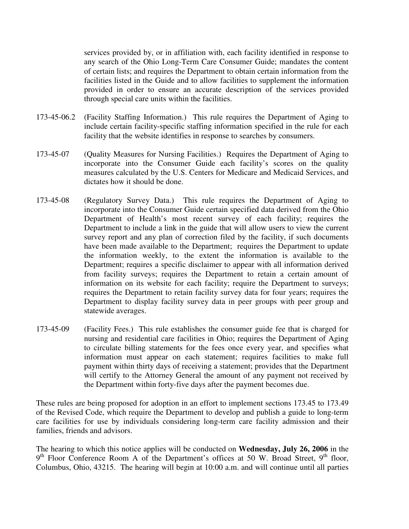services provided by, or in affiliation with, each facility identified in response to any search of the Ohio Long-Term Care Consumer Guide; mandates the content of certain lists; and requires the Department to obtain certain information from the facilities listed in the Guide and to allow facilities to supplement the information provided in order to ensure an accurate description of the services provided through special care units within the facilities.

- 173-45-06.2 (Facility Staffing Information.) This rule requires the Department of Aging to include certain facility-specific staffing information specified in the rule for each facility that the website identifies in response to searches by consumers.
- 173-45-07 (Quality Measures for Nursing Facilities.) Requires the Department of Aging to incorporate into the Consumer Guide each facility's scores on the quality measures calculated by the U.S. Centers for Medicare and Medicaid Services, and dictates how it should be done.
- 173-45-08 (Regulatory Survey Data.) This rule requires the Department of Aging to incorporate into the Consumer Guide certain specified data derived from the Ohio Department of Health's most recent survey of each facility; requires the Department to include a link in the guide that will allow users to view the current survey report and any plan of correction filed by the facility, if such documents have been made available to the Department; requires the Department to update the information weekly, to the extent the information is available to the Department; requires a specific disclaimer to appear with all information derived from facility surveys; requires the Department to retain a certain amount of information on its website for each facility; require the Department to surveys; requires the Department to retain facility survey data for four years; requires the Department to display facility survey data in peer groups with peer group and statewide averages.
- 173-45-09 (Facility Fees.) This rule establishes the consumer guide fee that is charged for nursing and residential care facilities in Ohio; requires the Department of Aging to circulate billing statements for the fees once every year, and specifies what information must appear on each statement; requires facilities to make full payment within thirty days of receiving a statement; provides that the Department will certify to the Attorney General the amount of any payment not received by the Department within forty-five days after the payment becomes due.

These rules are being proposed for adoption in an effort to implement sections 173.45 to 173.49 of the Revised Code, which require the Department to develop and publish a guide to long-term care facilities for use by individuals considering long-term care facility admission and their families, friends and advisors.

The hearing to which this notice applies will be conducted on **Wednesday, July 26, 2006** in the 9<sup>th</sup> Floor Conference Room A of the Department's offices at 50 W. Broad Street, 9<sup>th</sup> floor, Columbus, Ohio, 43215. The hearing will begin at 10:00 a.m. and will continue until all parties